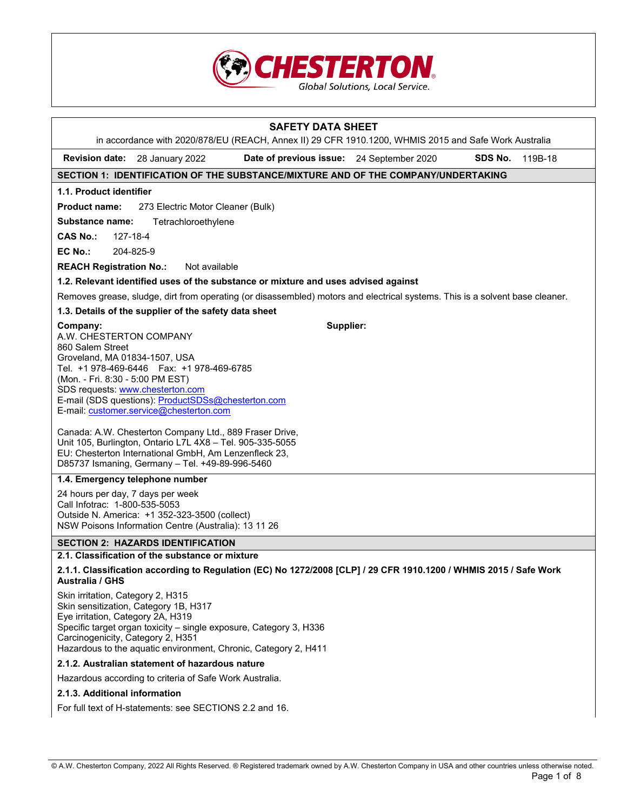

# **SAFETY DATA SHEET**  in accordance with 2020/878/EU (REACH, Annex II) 29 CFR 1910.1200, WHMIS 2015 and Safe Work Australia **Revision date:** 28 January 2022 **Date of previous issue:** 24 September 2020 **SDS No.** 119B-18 **SECTION 1: IDENTIFICATION OF THE SUBSTANCE/MIXTURE AND OF THE COMPANY/UNDERTAKING 1.1. Product identifier Product name:** 273 Electric Motor Cleaner (Bulk) **Substance name:** Tetrachloroethylene **CAS No.:** 127-18-4 **EC No.:** 204-825-9 **REACH Registration No.:** Not available **1.2. Relevant identified uses of the substance or mixture and uses advised against** Removes grease, sludge, dirt from operating (or disassembled) motors and electrical systems. This is a solvent base cleaner. **1.3. Details of the supplier of the safety data sheet Company:** A.W. CHESTERTON COMPANY 860 Salem Street Groveland, MA 01834-1507, USA Tel. +1 978-469-6446 Fax: +1 978-469-6785 (Mon. - Fri. 8:30 - 5:00 PM EST) SDS requests: www.chesterton.com E-mail (SDS questions): ProductSDSs@chesterton.com E-mail: customer.service@chesterton.com Canada: A.W. Chesterton Company Ltd., 889 Fraser Drive, Unit 105, Burlington, Ontario L7L 4X8 – Tel. 905-335-5055 EU: Chesterton International GmbH, Am Lenzenfleck 23, D85737 Ismaning, Germany – Tel. +49-89-996-5460 **Supplier: 1.4. Emergency telephone number** 24 hours per day, 7 days per week Call Infotrac: 1-800-535-5053 Outside N. America: +1 352-323-3500 (collect) NSW Poisons Information Centre (Australia): 13 11 26

### **SECTION 2: HAZARDS IDENTIFICATION**

# **2.1. Classification of the substance or mixture**

**2.1.1. Classification according to Regulation (EC) No 1272/2008 [CLP] / 29 CFR 1910.1200 / WHMIS 2015 / Safe Work Australia / GHS** 

Skin irritation, Category 2, H315 Skin sensitization, Category 1B, H317 Eye irritation, Category 2A, H319 Specific target organ toxicity – single exposure, Category 3, H336 Carcinogenicity, Category 2, H351 Hazardous to the aquatic environment, Chronic, Category 2, H411

#### **2.1.2. Australian statement of hazardous nature**

Hazardous according to criteria of Safe Work Australia.

#### **2.1.3. Additional information**

For full text of H-statements: see SECTIONS 2.2 and 16.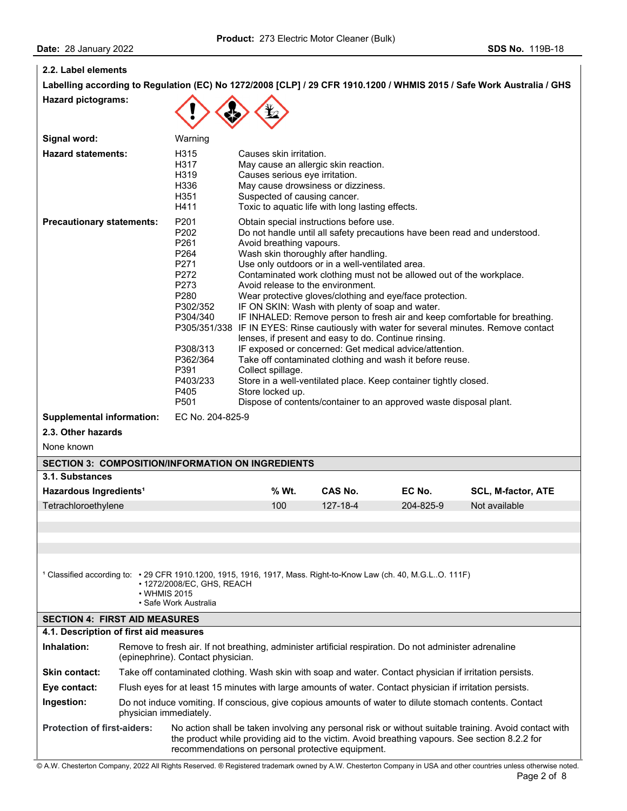┚

| 2.2. Label elements                                                                                                                                                                                                                                                                               |  |                                                                                                                                                                                                                                                |                                                                                                                                                                                                                                                                                                                                                         |          |                                                                                                                                                                                                                                                                                                                                                                                                  |                                                                                                                                                                                                                                        |
|---------------------------------------------------------------------------------------------------------------------------------------------------------------------------------------------------------------------------------------------------------------------------------------------------|--|------------------------------------------------------------------------------------------------------------------------------------------------------------------------------------------------------------------------------------------------|---------------------------------------------------------------------------------------------------------------------------------------------------------------------------------------------------------------------------------------------------------------------------------------------------------------------------------------------------------|----------|--------------------------------------------------------------------------------------------------------------------------------------------------------------------------------------------------------------------------------------------------------------------------------------------------------------------------------------------------------------------------------------------------|----------------------------------------------------------------------------------------------------------------------------------------------------------------------------------------------------------------------------------------|
|                                                                                                                                                                                                                                                                                                   |  |                                                                                                                                                                                                                                                |                                                                                                                                                                                                                                                                                                                                                         |          |                                                                                                                                                                                                                                                                                                                                                                                                  | Labelling according to Regulation (EC) No 1272/2008 [CLP] / 29 CFR 1910.1200 / WHMIS 2015 / Safe Work Australia / GHS                                                                                                                  |
| <b>Hazard pictograms:</b>                                                                                                                                                                                                                                                                         |  |                                                                                                                                                                                                                                                |                                                                                                                                                                                                                                                                                                                                                         |          |                                                                                                                                                                                                                                                                                                                                                                                                  |                                                                                                                                                                                                                                        |
|                                                                                                                                                                                                                                                                                                   |  |                                                                                                                                                                                                                                                |                                                                                                                                                                                                                                                                                                                                                         |          |                                                                                                                                                                                                                                                                                                                                                                                                  |                                                                                                                                                                                                                                        |
| Signal word:                                                                                                                                                                                                                                                                                      |  | Warning                                                                                                                                                                                                                                        |                                                                                                                                                                                                                                                                                                                                                         |          |                                                                                                                                                                                                                                                                                                                                                                                                  |                                                                                                                                                                                                                                        |
| <b>Hazard statements:</b>                                                                                                                                                                                                                                                                         |  | H315<br>H317<br>H319<br>H336<br>H351<br>H411                                                                                                                                                                                                   | Causes skin irritation.<br>May cause an allergic skin reaction.<br>Causes serious eye irritation.<br>May cause drowsiness or dizziness.<br>Suspected of causing cancer.<br>Toxic to aquatic life with long lasting effects.                                                                                                                             |          |                                                                                                                                                                                                                                                                                                                                                                                                  |                                                                                                                                                                                                                                        |
| <b>Precautionary statements:</b>                                                                                                                                                                                                                                                                  |  | P201<br>P <sub>202</sub><br>P261<br>P <sub>264</sub><br>P271<br>P272<br>P273<br>P280<br>P302/352<br>P304/340<br>P305/351/338<br>P308/313<br>P362/364<br>P391<br>P403/233<br>P405<br>P <sub>501</sub>                                           | Obtain special instructions before use.<br>Avoid breathing vapours.<br>Wash skin thoroughly after handling.<br>Use only outdoors or in a well-ventilated area.<br>Avoid release to the environment.<br>IF ON SKIN: Wash with plenty of soap and water.<br>lenses, if present and easy to do. Continue rinsing.<br>Collect spillage.<br>Store locked up. |          | Contaminated work clothing must not be allowed out of the workplace.<br>Wear protective gloves/clothing and eye/face protection.<br>IF exposed or concerned: Get medical advice/attention.<br>Take off contaminated clothing and wash it before reuse.<br>Store in a well-ventilated place. Keep container tightly closed.<br>Dispose of contents/container to an approved waste disposal plant. | Do not handle until all safety precautions have been read and understood.<br>IF INHALED: Remove person to fresh air and keep comfortable for breathing.<br>IF IN EYES: Rinse cautiously with water for several minutes. Remove contact |
| <b>Supplemental information:</b><br>EC No. 204-825-9                                                                                                                                                                                                                                              |  |                                                                                                                                                                                                                                                |                                                                                                                                                                                                                                                                                                                                                         |          |                                                                                                                                                                                                                                                                                                                                                                                                  |                                                                                                                                                                                                                                        |
| 2.3. Other hazards                                                                                                                                                                                                                                                                                |  |                                                                                                                                                                                                                                                |                                                                                                                                                                                                                                                                                                                                                         |          |                                                                                                                                                                                                                                                                                                                                                                                                  |                                                                                                                                                                                                                                        |
| None known                                                                                                                                                                                                                                                                                        |  |                                                                                                                                                                                                                                                |                                                                                                                                                                                                                                                                                                                                                         |          |                                                                                                                                                                                                                                                                                                                                                                                                  |                                                                                                                                                                                                                                        |
|                                                                                                                                                                                                                                                                                                   |  |                                                                                                                                                                                                                                                | <b>SECTION 3: COMPOSITION/INFORMATION ON INGREDIENTS</b>                                                                                                                                                                                                                                                                                                |          |                                                                                                                                                                                                                                                                                                                                                                                                  |                                                                                                                                                                                                                                        |
| 3.1. Substances                                                                                                                                                                                                                                                                                   |  |                                                                                                                                                                                                                                                |                                                                                                                                                                                                                                                                                                                                                         |          |                                                                                                                                                                                                                                                                                                                                                                                                  |                                                                                                                                                                                                                                        |
| Hazardous Ingredients <sup>1</sup>                                                                                                                                                                                                                                                                |  |                                                                                                                                                                                                                                                | % Wt.                                                                                                                                                                                                                                                                                                                                                   | CAS No.  | EC No.                                                                                                                                                                                                                                                                                                                                                                                           | <b>SCL, M-factor, ATE</b>                                                                                                                                                                                                              |
| Tetrachloroethylene                                                                                                                                                                                                                                                                               |  |                                                                                                                                                                                                                                                | 100                                                                                                                                                                                                                                                                                                                                                     | 127-18-4 | 204-825-9                                                                                                                                                                                                                                                                                                                                                                                        | Not available                                                                                                                                                                                                                          |
|                                                                                                                                                                                                                                                                                                   |  |                                                                                                                                                                                                                                                |                                                                                                                                                                                                                                                                                                                                                         |          |                                                                                                                                                                                                                                                                                                                                                                                                  |                                                                                                                                                                                                                                        |
|                                                                                                                                                                                                                                                                                                   |  |                                                                                                                                                                                                                                                |                                                                                                                                                                                                                                                                                                                                                         |          |                                                                                                                                                                                                                                                                                                                                                                                                  |                                                                                                                                                                                                                                        |
| <sup>1</sup> Classified according to: • 29 CFR 1910.1200, 1915, 1916, 1917, Mass. Right-to-Know Law (ch. 40, M.G.LO. 111F)<br>• 1272/2008/EC, GHS, REACH<br>• WHMIS 2015<br>• Safe Work Australia                                                                                                 |  |                                                                                                                                                                                                                                                |                                                                                                                                                                                                                                                                                                                                                         |          |                                                                                                                                                                                                                                                                                                                                                                                                  |                                                                                                                                                                                                                                        |
| <b>SECTION 4: FIRST AID MEASURES</b>                                                                                                                                                                                                                                                              |  |                                                                                                                                                                                                                                                |                                                                                                                                                                                                                                                                                                                                                         |          |                                                                                                                                                                                                                                                                                                                                                                                                  |                                                                                                                                                                                                                                        |
| 4.1. Description of first aid measures<br>Inhalation:                                                                                                                                                                                                                                             |  |                                                                                                                                                                                                                                                |                                                                                                                                                                                                                                                                                                                                                         |          | Remove to fresh air. If not breathing, administer artificial respiration. Do not administer adrenaline                                                                                                                                                                                                                                                                                           |                                                                                                                                                                                                                                        |
| <b>Skin contact:</b>                                                                                                                                                                                                                                                                              |  | (epinephrine). Contact physician.                                                                                                                                                                                                              |                                                                                                                                                                                                                                                                                                                                                         |          | Take off contaminated clothing. Wash skin with soap and water. Contact physician if irritation persists.                                                                                                                                                                                                                                                                                         |                                                                                                                                                                                                                                        |
| Eye contact:                                                                                                                                                                                                                                                                                      |  |                                                                                                                                                                                                                                                |                                                                                                                                                                                                                                                                                                                                                         |          |                                                                                                                                                                                                                                                                                                                                                                                                  |                                                                                                                                                                                                                                        |
| Ingestion:                                                                                                                                                                                                                                                                                        |  | Flush eyes for at least 15 minutes with large amounts of water. Contact physician if irritation persists.<br>Do not induce vomiting. If conscious, give copious amounts of water to dilute stomach contents. Contact<br>physician immediately. |                                                                                                                                                                                                                                                                                                                                                         |          |                                                                                                                                                                                                                                                                                                                                                                                                  |                                                                                                                                                                                                                                        |
| <b>Protection of first-aiders:</b><br>No action shall be taken involving any personal risk or without suitable training. Avoid contact with<br>the product while providing aid to the victim. Avoid breathing vapours. See section 8.2.2 for<br>recommendations on personal protective equipment. |  |                                                                                                                                                                                                                                                |                                                                                                                                                                                                                                                                                                                                                         |          |                                                                                                                                                                                                                                                                                                                                                                                                  |                                                                                                                                                                                                                                        |

© A.W. Chesterton Company, 2022 All Rights Reserved. ® Registered trademark owned by A.W. Chesterton Company in USA and other countries unless otherwise noted.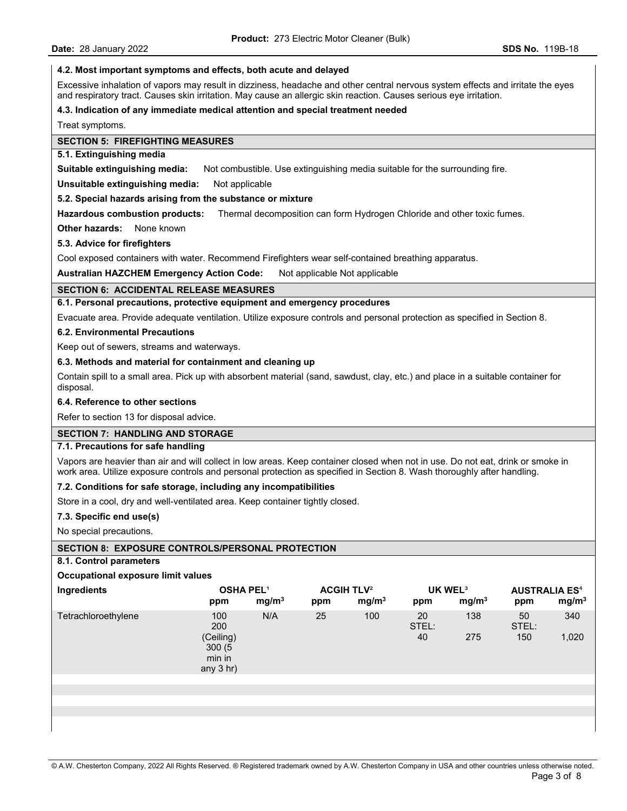#### **4.2. Most important symptoms and effects, both acute and delayed**

Excessive inhalation of vapors may result in dizziness, headache and other central nervous system effects and irritate the eyes and respiratory tract. Causes skin irritation. May cause an allergic skin reaction. Causes serious eye irritation.

### **4.3. Indication of any immediate medical attention and special treatment needed**

Treat symptoms.

### **SECTION 5: FIREFIGHTING MEASURES**

### **5.1. Extinguishing media**

**Suitable extinguishing media:** Not combustible. Use extinguishing media suitable for the surrounding fire.

**Unsuitable extinguishing media:** Not applicable

### **5.2. Special hazards arising from the substance or mixture**

**Hazardous combustion products:** Thermal decomposition can form Hydrogen Chloride and other toxic fumes.

**Other hazards:** None known

### **5.3. Advice for firefighters**

Cool exposed containers with water. Recommend Firefighters wear self-contained breathing apparatus.

**Australian HAZCHEM Emergency Action Code:** Not applicable Not applicable

### **SECTION 6: ACCIDENTAL RELEASE MEASURES**

**6.1. Personal precautions, protective equipment and emergency procedures**

Evacuate area. Provide adequate ventilation. Utilize exposure controls and personal protection as specified in Section 8.

### **6.2. Environmental Precautions**

Keep out of sewers, streams and waterways.

### **6.3. Methods and material for containment and cleaning up**

Contain spill to a small area. Pick up with absorbent material (sand, sawdust, clay, etc.) and place in a suitable container for disposal.

#### **6.4. Reference to other sections**

Refer to section 13 for disposal advice.

### **SECTION 7: HANDLING AND STORAGE**

### **7.1. Precautions for safe handling**

Vapors are heavier than air and will collect in low areas. Keep container closed when not in use. Do not eat, drink or smoke in work area. Utilize exposure controls and personal protection as specified in Section 8. Wash thoroughly after handling.

#### **7.2. Conditions for safe storage, including any incompatibilities**

Store in a cool, dry and well-ventilated area. Keep container tightly closed.

#### **7.3. Specific end use(s)**

No special precautions.

# **SECTION 8: EXPOSURE CONTROLS/PERSONAL PROTECTION**

#### **8.1. Control parameters**

| Occupational exposure limit values |                                                            |                   |     |                                                   |                   |                                          |                    |                                                      |
|------------------------------------|------------------------------------------------------------|-------------------|-----|---------------------------------------------------|-------------------|------------------------------------------|--------------------|------------------------------------------------------|
| Ingredients                        | <b>OSHA PEL1</b><br>ppm                                    | mg/m <sup>3</sup> | ppm | <b>ACGIH TLV<sup>2</sup></b><br>mg/m <sup>3</sup> | ppm               | UK WEL <sup>3</sup><br>mg/m <sup>3</sup> | ppm                | <b>AUSTRALIA ES<sup>4</sup></b><br>mg/m <sup>3</sup> |
| Tetrachloroethylene                | 100<br>200<br>(Ceiling)<br>300(5)<br>min in<br>any $3$ hr) | N/A               | 25  | 100                                               | 20<br>STEL:<br>40 | 138<br>275                               | 50<br>STEL:<br>150 | 340<br>1,020                                         |
|                                    |                                                            |                   |     |                                                   |                   |                                          |                    |                                                      |
|                                    |                                                            |                   |     |                                                   |                   |                                          |                    |                                                      |
|                                    |                                                            |                   |     |                                                   |                   |                                          |                    |                                                      |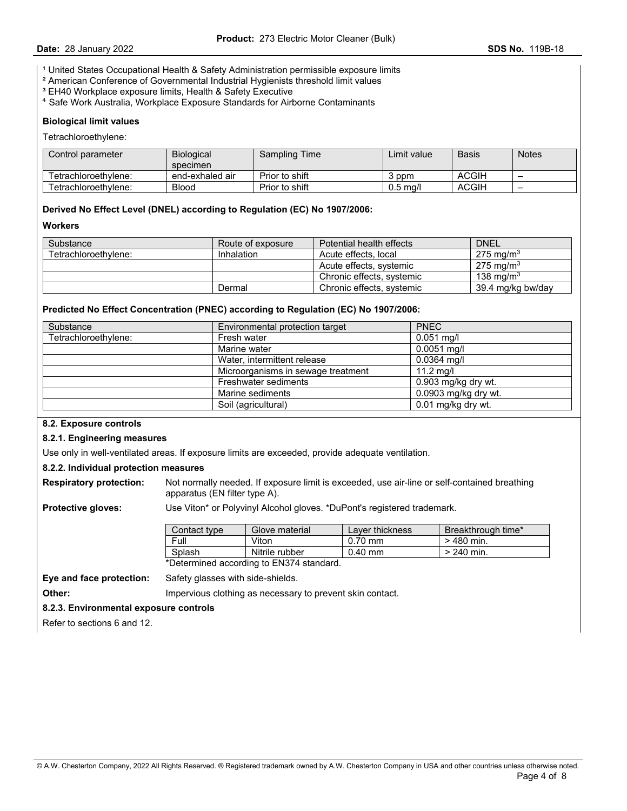<sup>1</sup> United States Occupational Health & Safety Administration permissible exposure limits

- ² American Conference of Governmental Industrial Hygienists threshold limit values
- <sup>3</sup> EH40 Workplace exposure limits, Health & Safety Executive
- ⁴ Safe Work Australia, Workplace Exposure Standards for Airborne Contaminants

#### **Biological limit values**

Tetrachloroethylene:

| Control parameter    | <b>Biological</b><br>specimen | <b>Sampling Time</b> | Limit value | <b>Basis</b> | <b>Notes</b> |
|----------------------|-------------------------------|----------------------|-------------|--------------|--------------|
| Tetrachloroethvlene: | end-exhaled air               | Prior to shift       | ppm         | <b>ACGIH</b> |              |
| Tetrachloroethvlene: | <b>Blood</b>                  | Prior to shift       | $0.5$ ma/l  | <b>ACGIH</b> | -            |

### **Derived No Effect Level (DNEL) according to Regulation (EC) No 1907/2006:**

**Workers** 

| Substance            | Route of exposure | Potential health effects  | <b>DNEL</b>           |
|----------------------|-------------------|---------------------------|-----------------------|
| Tetrachloroethylene: | Inhalation        | Acute effects, local      | 275 mg/m <sup>3</sup> |
|                      |                   | Acute effects, systemic   | $275 \text{ mg/m}^3$  |
|                      |                   | Chronic effects, systemic | 138 ma/m $3$          |
|                      | Dermal            | Chronic effects, systemic | 39.4 mg/kg bw/day     |

#### **Predicted No Effect Concentration (PNEC) according to Regulation (EC) No 1907/2006:**

| Substance            | <b>PNEC</b><br>Environmental protection target |                      |  |
|----------------------|------------------------------------------------|----------------------|--|
| Tetrachloroethvlene: | Fresh water                                    | $0.051$ mg/l         |  |
|                      | Marine water                                   | $0.0051$ mg/l        |  |
|                      | Water, intermittent release<br>$0.0364$ mg/l   |                      |  |
|                      | Microorganisms in sewage treatment             | $11.2 \text{ mq/l}$  |  |
|                      | Freshwater sediments                           | 0.903 mg/kg dry wt.  |  |
|                      | Marine sediments                               | 0.0903 mg/kg dry wt. |  |
|                      | Soil (agricultural)                            | 0.01 mg/kg dry wt.   |  |

#### **8.2. Exposure controls**

#### **8.2.1. Engineering measures**

Use only in well-ventilated areas. If exposure limits are exceeded, provide adequate ventilation.

### **8.2.2. Individual protection measures**

**Respiratory protection:** Not normally needed. If exposure limit is exceeded, use air-line or self-contained breathing apparatus (EN filter type A).

**Protective gloves:** Use Viton\* or Polyvinyl Alcohol gloves. \*DuPont's registered trademark.

| Contact type | Glove material | Laver thickness | Breakthrough time* |
|--------------|----------------|-----------------|--------------------|
| Full         | √iton          | $0.70$ mm       | $>$ 480 min.       |
| Splash       | Nitrile rubber | $0.40$ mm       | $> 240$ min.       |

\*Determined according to EN374 standard.

**Eye and face protection:** Safety glasses with side-shields.

**Other: Impervious clothing as necessary to prevent skin contact.** 

#### **8.2.3. Environmental exposure controls**

Refer to sections 6 and 12.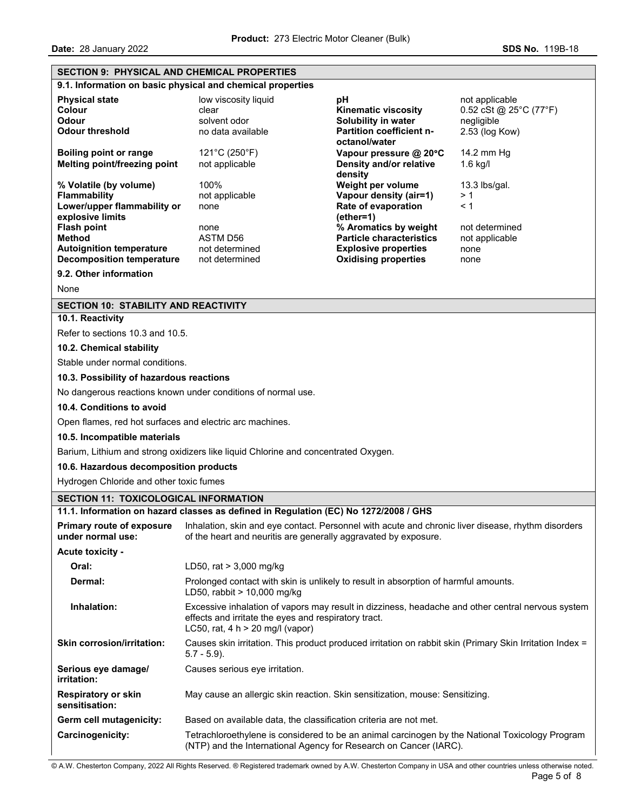### **SECTION 9: PHYSICAL AND CHEMICAL PROPERTIES**

|                                                                                                     | 9.1. Information on basic physical and chemical properties                                                                                                                                      |                                                                                                                        |                                                                          |  |  |
|-----------------------------------------------------------------------------------------------------|-------------------------------------------------------------------------------------------------------------------------------------------------------------------------------------------------|------------------------------------------------------------------------------------------------------------------------|--------------------------------------------------------------------------|--|--|
| <b>Physical state</b><br>Colour<br><b>Odour</b><br><b>Odour threshold</b>                           | low viscosity liquid<br>clear<br>solvent odor<br>no data available                                                                                                                              | рH<br><b>Kinematic viscosity</b><br>Solubility in water<br><b>Partition coefficient n-</b>                             | not applicable<br>0.52 cSt @ 25°C (77°F)<br>negligible<br>2.53 (log Kow) |  |  |
| <b>Boiling point or range</b><br>Melting point/freezing point                                       | 121°C (250°F)<br>not applicable                                                                                                                                                                 | octanol/water<br>Vapour pressure @ 20°C<br>Density and/or relative<br>density                                          | 14.2 mm Hg<br>$1.6$ kg/l                                                 |  |  |
| % Volatile (by volume)<br><b>Flammability</b><br>Lower/upper flammability or<br>explosive limits    | 100%<br>not applicable<br>none                                                                                                                                                                  | Weight per volume<br>Vapour density (air=1)<br>Rate of evaporation<br>$(ether=1)$                                      | $13.3$ lbs/gal.<br>> 1<br>< 1                                            |  |  |
| <b>Flash point</b><br>Method<br><b>Autoignition temperature</b><br><b>Decomposition temperature</b> | none<br>ASTM D56<br>not determined<br>not determined                                                                                                                                            | % Aromatics by weight<br><b>Particle characteristics</b><br><b>Explosive properties</b><br><b>Oxidising properties</b> | not determined<br>not applicable<br>none<br>none                         |  |  |
| 9.2. Other information                                                                              |                                                                                                                                                                                                 |                                                                                                                        |                                                                          |  |  |
| None                                                                                                |                                                                                                                                                                                                 |                                                                                                                        |                                                                          |  |  |
| <b>SECTION 10: STABILITY AND REACTIVITY</b>                                                         |                                                                                                                                                                                                 |                                                                                                                        |                                                                          |  |  |
| 10.1. Reactivity                                                                                    |                                                                                                                                                                                                 |                                                                                                                        |                                                                          |  |  |
| Refer to sections 10.3 and 10.5.                                                                    |                                                                                                                                                                                                 |                                                                                                                        |                                                                          |  |  |
| 10.2. Chemical stability                                                                            |                                                                                                                                                                                                 |                                                                                                                        |                                                                          |  |  |
| Stable under normal conditions.                                                                     |                                                                                                                                                                                                 |                                                                                                                        |                                                                          |  |  |
| 10.3. Possibility of hazardous reactions                                                            |                                                                                                                                                                                                 |                                                                                                                        |                                                                          |  |  |
|                                                                                                     | No dangerous reactions known under conditions of normal use.                                                                                                                                    |                                                                                                                        |                                                                          |  |  |
| 10.4. Conditions to avoid                                                                           |                                                                                                                                                                                                 |                                                                                                                        |                                                                          |  |  |
| Open flames, red hot surfaces and electric arc machines.                                            |                                                                                                                                                                                                 |                                                                                                                        |                                                                          |  |  |
| 10.5. Incompatible materials                                                                        |                                                                                                                                                                                                 |                                                                                                                        |                                                                          |  |  |
|                                                                                                     | Barium, Lithium and strong oxidizers like liquid Chlorine and concentrated Oxygen.                                                                                                              |                                                                                                                        |                                                                          |  |  |
| 10.6. Hazardous decomposition products                                                              |                                                                                                                                                                                                 |                                                                                                                        |                                                                          |  |  |
| Hydrogen Chloride and other toxic fumes                                                             |                                                                                                                                                                                                 |                                                                                                                        |                                                                          |  |  |
| <b>SECTION 11: TOXICOLOGICAL INFORMATION</b>                                                        |                                                                                                                                                                                                 |                                                                                                                        |                                                                          |  |  |
|                                                                                                     | 11.1. Information on hazard classes as defined in Regulation (EC) No 1272/2008 / GHS                                                                                                            |                                                                                                                        |                                                                          |  |  |
| Primary route of exposure<br>under normal use:                                                      | Inhalation, skin and eye contact. Personnel with acute and chronic liver disease, rhythm disorders<br>of the heart and neuritis are generally aggravated by exposure.                           |                                                                                                                        |                                                                          |  |  |
| <b>Acute toxicity -</b>                                                                             |                                                                                                                                                                                                 |                                                                                                                        |                                                                          |  |  |
| Oral:                                                                                               | LD50, rat $> 3,000$ mg/kg                                                                                                                                                                       |                                                                                                                        |                                                                          |  |  |
| Dermal:                                                                                             | Prolonged contact with skin is unlikely to result in absorption of harmful amounts.<br>LD50, rabbit > 10,000 mg/kg                                                                              |                                                                                                                        |                                                                          |  |  |
| Inhalation:                                                                                         | Excessive inhalation of vapors may result in dizziness, headache and other central nervous system<br>effects and irritate the eyes and respiratory tract.<br>LC50, rat, $4 h > 20$ mg/l (vapor) |                                                                                                                        |                                                                          |  |  |
| <b>Skin corrosion/irritation:</b>                                                                   | Causes skin irritation. This product produced irritation on rabbit skin (Primary Skin Irritation Index =<br>$5.7 - 5.9$ ).                                                                      |                                                                                                                        |                                                                          |  |  |
| Serious eye damage/<br>irritation:                                                                  | Causes serious eye irritation.                                                                                                                                                                  |                                                                                                                        |                                                                          |  |  |
| <b>Respiratory or skin</b><br>sensitisation:                                                        | May cause an allergic skin reaction. Skin sensitization, mouse: Sensitizing.                                                                                                                    |                                                                                                                        |                                                                          |  |  |

Germ cell mutagenicity: Based on available data, the classification criteria are not met. **Carcinogenicity:** Tetrachloroethylene is considered to be an animal carcinogen by the National Toxicology Program (NTP) and the International Agency for Research on Cancer (IARC).

© A.W. Chesterton Company, 2022 All Rights Reserved. ® Registered trademark owned by A.W. Chesterton Company in USA and other countries unless otherwise noted.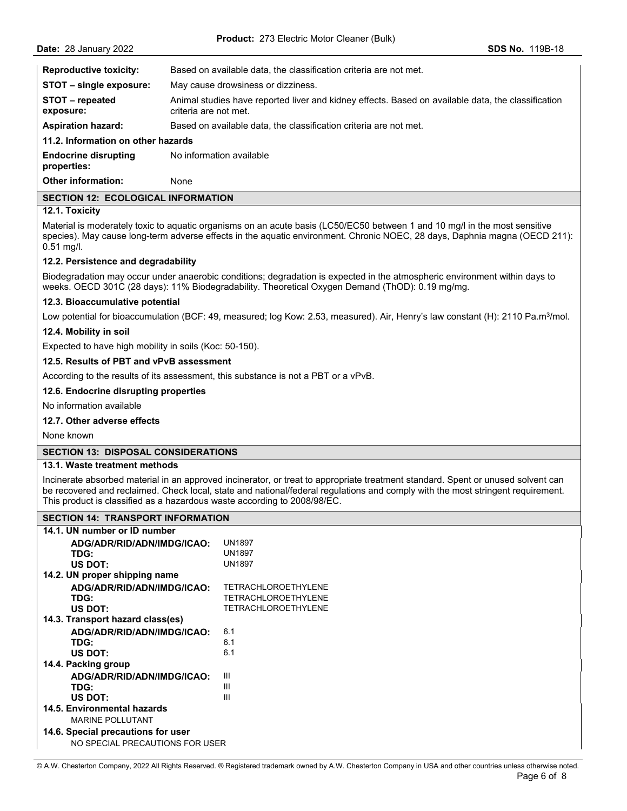| <b>Reproductive toxicity:</b>              | Based on available data, the classification criteria are not met.                                                           |  |  |  |  |
|--------------------------------------------|-----------------------------------------------------------------------------------------------------------------------------|--|--|--|--|
| STOT - single exposure:                    | May cause drowsiness or dizziness.                                                                                          |  |  |  |  |
| STOT – repeated<br>exposure:               | Animal studies have reported liver and kidney effects. Based on available data, the classification<br>criteria are not met. |  |  |  |  |
| <b>Aspiration hazard:</b>                  | Based on available data, the classification criteria are not met.                                                           |  |  |  |  |
| 11.2. Information on other hazards         |                                                                                                                             |  |  |  |  |
| <b>Endocrine disrupting</b><br>properties: | No information available                                                                                                    |  |  |  |  |

**Other information:** None

# **SECTION 12: ECOLOGICAL INFORMATION**

# **12.1. Toxicity**

Material is moderately toxic to aquatic organisms on an acute basis (LC50/EC50 between 1 and 10 mg/l in the most sensitive species). May cause long-term adverse effects in the aquatic environment. Chronic NOEC, 28 days, Daphnia magna (OECD 211): 0.51 mg/l.

### **12.2. Persistence and degradability**

Biodegradation may occur under anaerobic conditions; degradation is expected in the atmospheric environment within days to weeks. OECD 301C (28 days): 11% Biodegradability. Theoretical Oxygen Demand (ThOD): 0.19 mg/mg.

#### **12.3. Bioaccumulative potential**

Low potential for bioaccumulation (BCF: 49, measured; log Kow: 2.53, measured). Air, Henry's law constant (H): 2110 Pa.m<sup>3</sup>/mol.

### **12.4. Mobility in soil**

Expected to have high mobility in soils (Koc: 50-150).

### **12.5. Results of PBT and vPvB assessment**

According to the results of its assessment, this substance is not a PBT or a vPvB.

### **12.6. Endocrine disrupting properties**

No information available

### **12.7. Other adverse effects**

None known

## **SECTION 13: DISPOSAL CONSIDERATIONS**

### **13.1. Waste treatment methods**

Incinerate absorbed material in an approved incinerator, or treat to appropriate treatment standard. Spent or unused solvent can be recovered and reclaimed. Check local, state and national/federal regulations and comply with the most stringent requirement. This product is classified as a hazardous waste according to 2008/98/EC.

#### **SECTION 14: TRANSPORT INFORMATION**

| 14.1. UN number or ID number       |                            |
|------------------------------------|----------------------------|
| ADG/ADR/RID/ADN/IMDG/ICAO:         | <b>UN1897</b>              |
| TDG:                               | <b>UN1897</b>              |
| US DOT:                            | <b>UN1897</b>              |
| 14.2. UN proper shipping name      |                            |
| ADG/ADR/RID/ADN/IMDG/ICAO:         | <b>TETRACHLOROETHYLENE</b> |
| TDG:                               | TETRACHLOROETHYLENE        |
| US DOT:                            | TETRACHLOROETHYLENE        |
| 14.3. Transport hazard class(es)   |                            |
| ADG/ADR/RID/ADN/IMDG/ICAO:         | 61                         |
| TDG:                               | 6.1                        |
| US DOT:                            | 61                         |
| 14.4. Packing group                |                            |
| ADG/ADR/RID/ADN/IMDG/ICAO:         | Ш                          |
| TDG:                               | Ш                          |
| <b>US DOT:</b>                     | Ш                          |
| 14.5. Environmental hazards        |                            |
| <b>MARINE POLLUTANT</b>            |                            |
| 14.6. Special precautions for user |                            |
| NO SPECIAL PRECAUTIONS FOR USER    |                            |

© A.W. Chesterton Company, 2022 All Rights Reserved. ® Registered trademark owned by A.W. Chesterton Company in USA and other countries unless otherwise noted.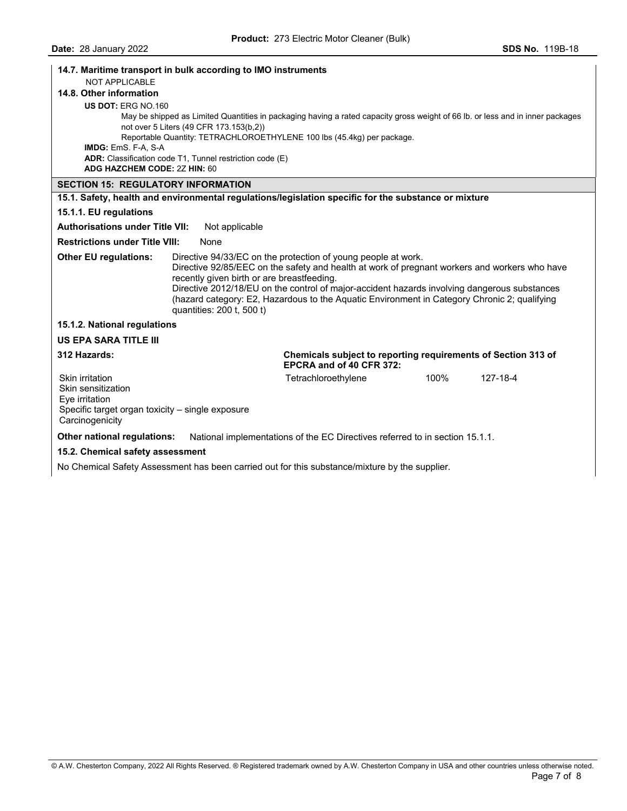| 14.7. Maritime transport in bulk according to IMO instruments                                               |                                                                         |                                                                                                                                                                                                                                                                                                                                                                |      |          |  |  |
|-------------------------------------------------------------------------------------------------------------|-------------------------------------------------------------------------|----------------------------------------------------------------------------------------------------------------------------------------------------------------------------------------------------------------------------------------------------------------------------------------------------------------------------------------------------------------|------|----------|--|--|
| <b>NOT APPLICABLE</b>                                                                                       |                                                                         |                                                                                                                                                                                                                                                                                                                                                                |      |          |  |  |
| 14.8. Other information                                                                                     |                                                                         |                                                                                                                                                                                                                                                                                                                                                                |      |          |  |  |
| US DOT: ERG NO.160                                                                                          |                                                                         |                                                                                                                                                                                                                                                                                                                                                                |      |          |  |  |
|                                                                                                             |                                                                         | May be shipped as Limited Quantities in packaging having a rated capacity gross weight of 66 lb. or less and in inner packages                                                                                                                                                                                                                                 |      |          |  |  |
|                                                                                                             | not over 5 Liters (49 CFR 173.153(b,2))                                 |                                                                                                                                                                                                                                                                                                                                                                |      |          |  |  |
|                                                                                                             |                                                                         | Reportable Quantity: TETRACHLOROETHYLENE 100 lbs (45.4kg) per package.                                                                                                                                                                                                                                                                                         |      |          |  |  |
| IMDG: EmS. F-A, S-A                                                                                         |                                                                         |                                                                                                                                                                                                                                                                                                                                                                |      |          |  |  |
| ADG HAZCHEM CODE: 2Z HIN: 60                                                                                | ADR: Classification code T1, Tunnel restriction code (E)                |                                                                                                                                                                                                                                                                                                                                                                |      |          |  |  |
|                                                                                                             |                                                                         |                                                                                                                                                                                                                                                                                                                                                                |      |          |  |  |
| <b>SECTION 15: REGULATORY INFORMATION</b>                                                                   |                                                                         |                                                                                                                                                                                                                                                                                                                                                                |      |          |  |  |
|                                                                                                             |                                                                         | 15.1. Safety, health and environmental regulations/legislation specific for the substance or mixture                                                                                                                                                                                                                                                           |      |          |  |  |
| 15.1.1. EU regulations                                                                                      |                                                                         |                                                                                                                                                                                                                                                                                                                                                                |      |          |  |  |
| <b>Authorisations under Title VII:</b>                                                                      | Not applicable                                                          |                                                                                                                                                                                                                                                                                                                                                                |      |          |  |  |
| <b>Restrictions under Title VIII:</b>                                                                       | None                                                                    |                                                                                                                                                                                                                                                                                                                                                                |      |          |  |  |
| <b>Other EU regulations:</b>                                                                                | recently given birth or are breastfeeding.<br>quantities: 200 t, 500 t) | Directive 94/33/EC on the protection of young people at work.<br>Directive 92/85/EEC on the safety and health at work of pregnant workers and workers who have<br>Directive 2012/18/EU on the control of major-accident hazards involving dangerous substances<br>(hazard category: E2, Hazardous to the Aquatic Environment in Category Chronic 2; qualifying |      |          |  |  |
| 15.1.2. National regulations                                                                                |                                                                         |                                                                                                                                                                                                                                                                                                                                                                |      |          |  |  |
| <b>US EPA SARA TITLE III</b>                                                                                |                                                                         |                                                                                                                                                                                                                                                                                                                                                                |      |          |  |  |
| 312 Hazards:                                                                                                |                                                                         | Chemicals subject to reporting requirements of Section 313 of<br>EPCRA and of 40 CFR 372:                                                                                                                                                                                                                                                                      |      |          |  |  |
| Skin irritation<br>Skin sensitization<br>Eye irritation<br>Specific target organ toxicity - single exposure |                                                                         | Tetrachloroethylene                                                                                                                                                                                                                                                                                                                                            | 100% | 127-18-4 |  |  |
| Carcinogenicity                                                                                             |                                                                         |                                                                                                                                                                                                                                                                                                                                                                |      |          |  |  |
| Other national regulations:                                                                                 |                                                                         | National implementations of the EC Directives referred to in section 15.1.1.                                                                                                                                                                                                                                                                                   |      |          |  |  |
| 15.2. Chemical safety assessment                                                                            |                                                                         |                                                                                                                                                                                                                                                                                                                                                                |      |          |  |  |

No Chemical Safety Assessment has been carried out for this substance/mixture by the supplier.